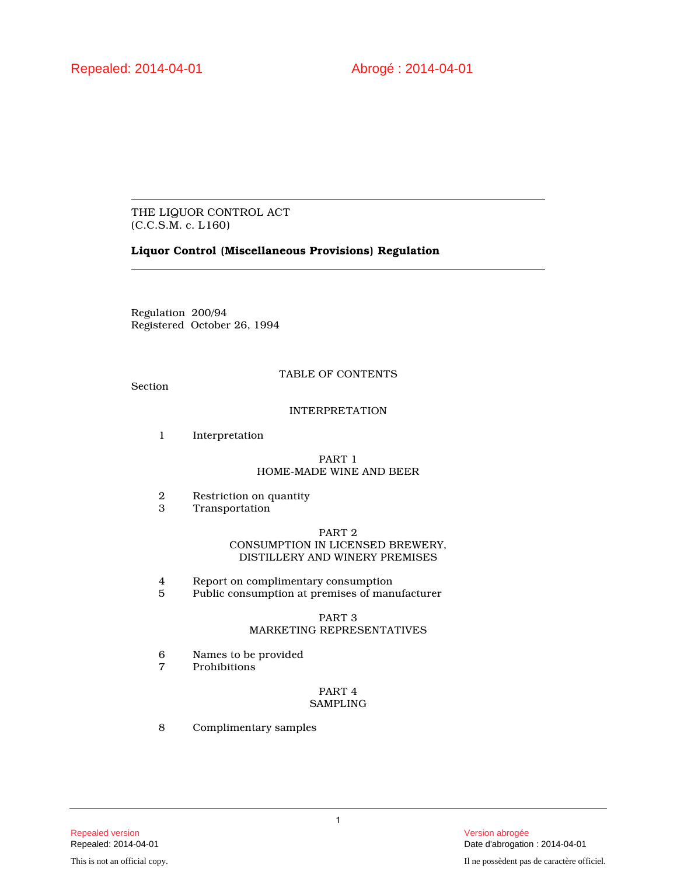# THE LIQUOR CONTROL ACT (C.C.S.M. c. L160)

# **Liquor Control (Miscellaneous Provisions) Regulation**

Regulation 200/94 Registered October 26, 1994

# TABLE OF CONTENTS

Section

# INTERPRETATION

1 Interpretation

## PART 1 HOME-MADE WINE AND BEER

- 2 Restriction on quantity<br>3 Transportation
- **Transportation**

# PART 2 CONSUMPTION IN LICENSED BREWERY, DISTILLERY AND WINERY PREMISES

- 4 Report on complimentary consumption<br>5 Public consumption at premises of man
- Public consumption at premises of manufacturer

# PART 3 MARKETING REPRESENTATIVES

- 6 Names to be provided<br>7 Prohibitions
- **Prohibitions**

# PART 4 SAMPLING

8 Complimentary samples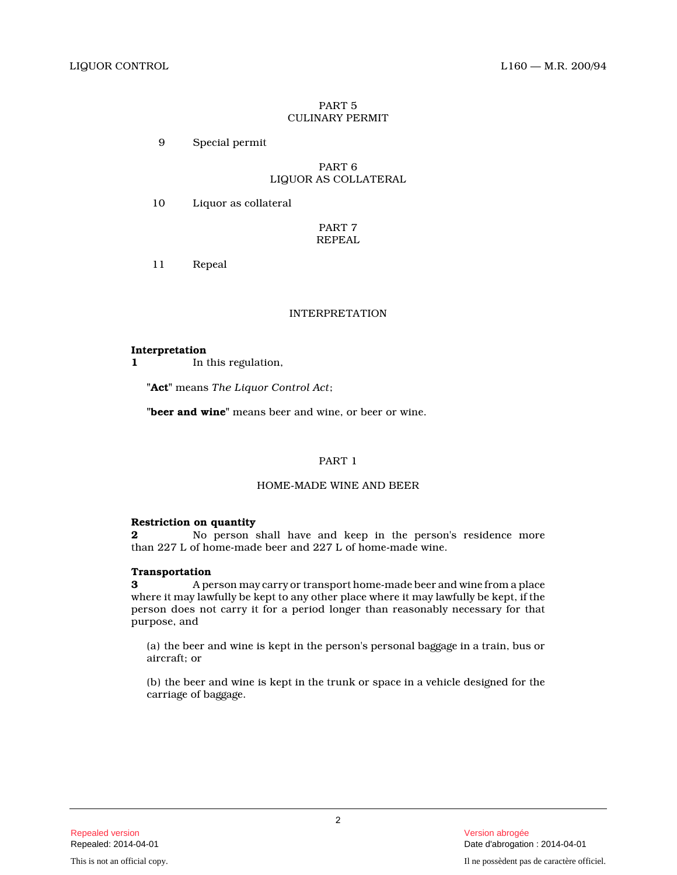# PART 5 CULINARY PERMIT

9 Special permit

## PART 6 LIQUOR AS COLLATERAL

10 Liquor as collateral

PART 7 REPEAL

11 Repeal

# INTERPRETATION

## **Interpretation**

**1** In this regulation,

**"Act"** means *The Liquor Control Act* ;

**"beer and wine"** means beer and wine, or beer or wine.

# PART 1

# HOME-MADE WINE AND BEER

# **Restriction on quantity**

**2** No person shall have and keep in the person's residence more than 227 L of home-made beer and 227 L of home-made wine.

# **Transportation**

**3** A person may carry or transport home-made beer and wine from a place where it may lawfully be kept to any other place where it may lawfully be kept, if the person does not carry it for a period longer than reasonably necessary for that purpose, and

(a) the beer and wine is kept in the person's personal baggage in a train, bus or aircraft; or

(b) the beer and wine is kept in the trunk or space in a vehicle designed for the carriage of baggage.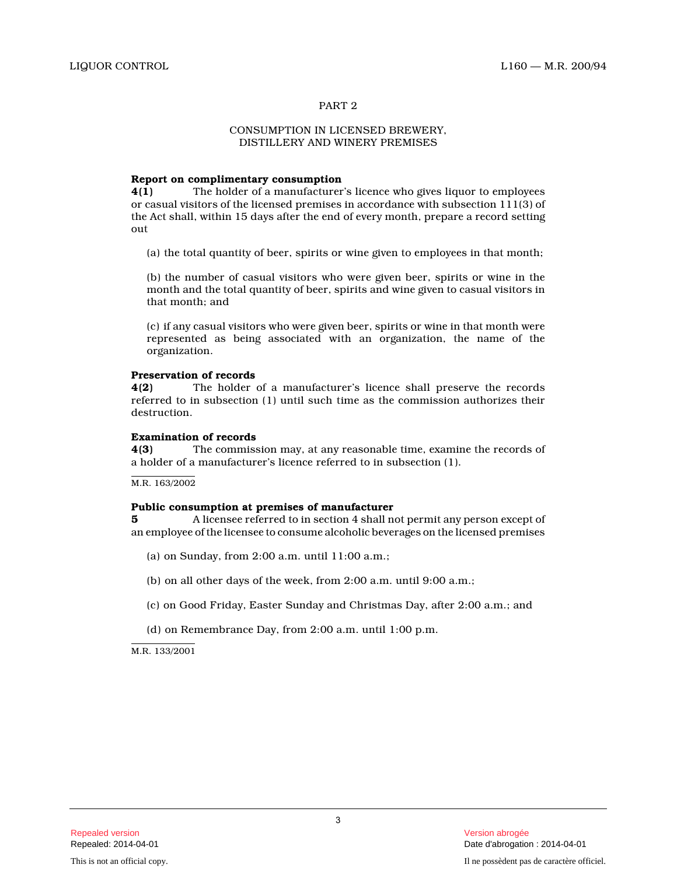## PART 2

### CONSUMPTION IN LICENSED BREWERY, DISTILLERY AND WINERY PREMISES

## **Report on complimentary consumption**

**4(1)** The holder of a manufacturer's licence who gives liquor to employees or casual visitors of the licensed premises in accordance with subsection 111(3) of the Act shall, within 15 days after the end of every month, prepare a record setting out

(a) the total quantity of beer, spirits or wine given to employees in that month;

(b) the number of casual visitors who were given beer, spirits or wine in the month and the total quantity of beer, spirits and wine given to casual visitors in that month; and

(c) if any casual visitors who were given beer, spirits or wine in that month were represented as being associated with an organization, the name of the organization.

#### **Preservation of records**

**4(2)** The holder of a manufacturer's licence shall preserve the records referred to in subsection (1) until such time as the commission authorizes their destruction.

## **Examination of records**

**4(3)** The commission may, at any reasonable time, examine the records of a holder of a manufacturer's licence referred to in subsection (1).

M.R. 163/2002

#### **Public consumption at premises of manufacturer**

**5** A licensee referred to in section 4 shall not permit any person except of an employee of the licensee to consume alcoholic beverages on the licensed premises

- (a) on Sunday, from 2:00 a.m. until 11:00 a.m.;
- (b) on all other days of the week, from 2:00 a.m. until 9:00 a.m.;
- (c) on Good Friday, Easter Sunday and Christmas Day, after 2:00 a.m.; and
- (d) on Remembrance Day, from 2:00 a.m. until 1:00 p.m.

M.R. 133/2001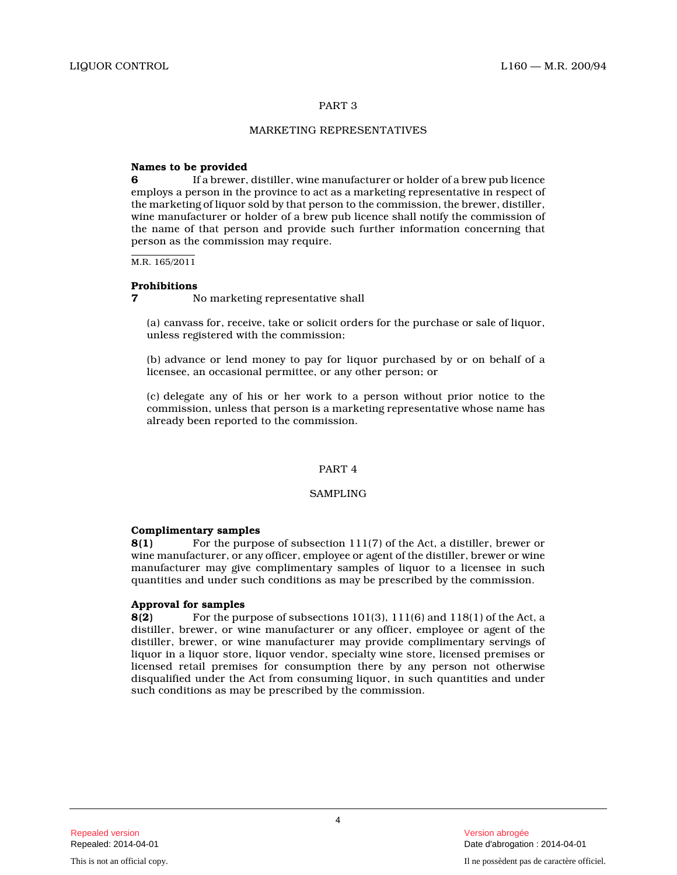# PART 3

# MARKETING REPRESENTATIVES

# **Names to be provided**

**6** If a brewer, distiller, wine manufacturer or holder of a brew pub licence employs a person in the province to act as a marketing representative in respect of the marketing of liquor sold by that person to the commission, the brewer, distiller, wine manufacturer or holder of a brew pub licence shall notify the commission of the name of that person and provide such further information concerning that person as the commission may require.

M.R. 165/2011

## **Prohibitions**

**7** No marketing representative shall

(a) canvass for, receive, take or solicit orders for the purchase or sale of liquor, unless registered with the commission;

(b) advance or lend money to pay for liquor purchased by or on behalf of a licensee, an occasional permittee, or any other person; or

(c) delegate any of his or her work to a person without prior notice to the commission, unless that person is a marketing representative whose name has already been reported to the commission.

## PART 4

# SAMPLING

## **Complimentary samples**

**8(1)** For the purpose of subsection 111(7) of the Act, a distiller, brewer or wine manufacturer, or any officer, employee or agent of the distiller, brewer or wine manufacturer may give complimentary samples of liquor to a licensee in such quantities and under such conditions as may be prescribed by the commission.

# **Approval for samples**

**8(2)** For the purpose of subsections 101(3), 111(6) and 118(1) of the Act, a distiller, brewer, or wine manufacturer or any officer, employee or agent of the distiller, brewer, or wine manufacturer may provide complimentary servings of liquor in a liquor store, liquor vendor, specialty wine store, licensed premises or licensed retail premises for consumption there by any person not otherwise disqualified under the Act from consuming liquor, in such quantities and under such conditions as may be prescribed by the commission.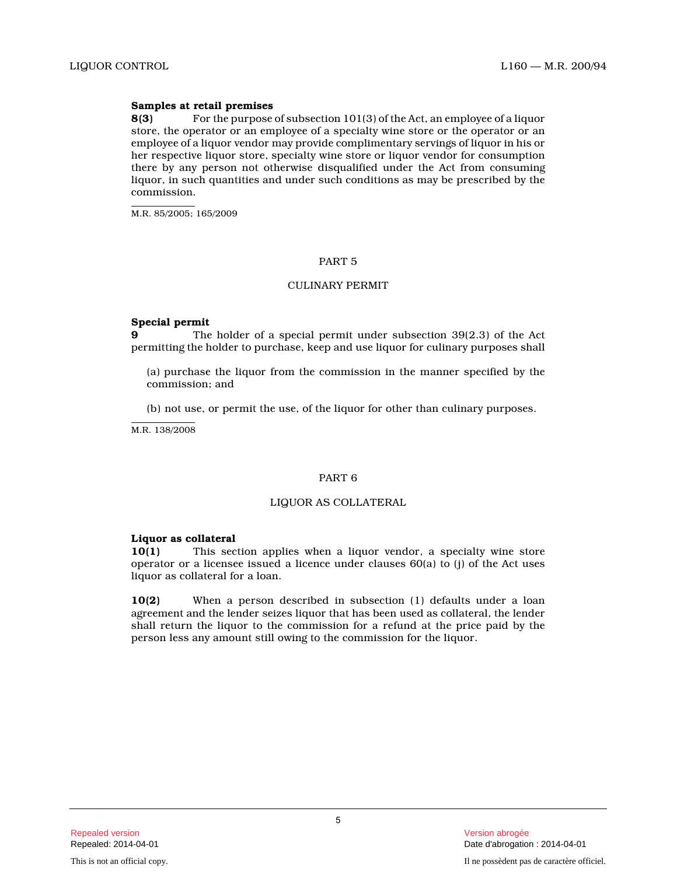## **Samples at retail premises**

**8(3)** For the purpose of subsection 101(3) of the Act, an employee of a liquor store, the operator or an employee of a specialty wine store or the operator or an employee of a liquor vendor may provide complimentary servings of liquor in his or her respective liquor store, specialty wine store or liquor vendor for consumption there by any person not otherwise disqualified under the Act from consuming liquor, in such quantities and under such conditions as may be prescribed by the commission.

M.R. 85/2005; 165/2009

# PART 5

# CULINARY PERMIT

## **Special permit**

**9** The holder of a special permit under subsection 39(2.3) of the Act permitting the holder to purchase, keep and use liquor for culinary purposes shall

(a) purchase the liquor from the commission in the manner specified by the commission; and

(b) not use, or permit the use, of the liquor for other than culinary purposes.

M.R. 138/2008

## PART 6

#### LIQUOR AS COLLATERAL

#### **Liquor as collateral**

**10(1)** This section applies when a liquor vendor, a specialty wine store operator or a licensee issued a licence under clauses 60(a) to (j) of the Act uses liquor as collateral for a loan.

**10(2)** When a person described in subsection (1) defaults under a loan agreement and the lender seizes liquor that has been used as collateral, the lender shall return the liquor to the commission for a refund at the price paid by the person less any amount still owing to the commission for the liquor.